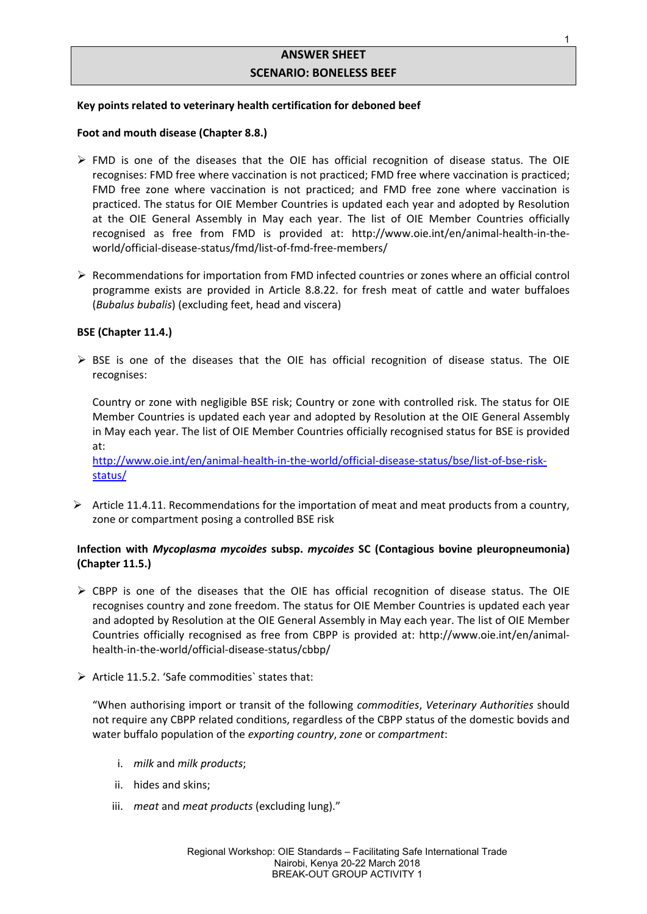# **ANSWER SHEET SCENARIO: BONELESS BEEF**

# **Key points related to veterinary health certification for deboned beef**

# **Foot and mouth disease (Chapter 8.8.)**

- $\triangleright$  FMD is one of the diseases that the OIE has official recognition of disease status. The OIE recognises: FMD free where vaccination is not practiced; FMD free where vaccination is practiced; FMD free zone where vaccination is not practiced; and FMD free zone where vaccination is practiced. The status for OIE Member Countries is updated each year and adopted by Resolution at the OIE General Assembly in May each year. The list of OIE Member Countries officially recognised as free from FMD is provided at: http://www.oie.int/en/animal-health-in-theworld/official-disease-status/fmd/list-of-fmd-free-members/
- $\triangleright$  Recommendations for importation from FMD infected countries or zones where an official control programme exists are provided in Article 8.8.22. for fresh meat of cattle and water buffaloes (*Bubalus bubalis*) (excluding feet, head and viscera)

# **BSE (Chapter 11.4.)**

 $\triangleright$  BSE is one of the diseases that the OIE has official recognition of disease status. The OIE recognises:

Country or zone with negligible BSE risk; Country or zone with controlled risk. The status for OIE Member Countries is updated each year and adopted by Resolution at the OIE General Assembly in May each year. The list of OIE Member Countries officially recognised status for BSE is provided at:

http://www.oie.int/en/animal-health-in-the-world/official-disease-status/bse/list-of-bse-riskstatus/

 $\triangleright$  Article 11.4.11. Recommendations for the importation of meat and meat products from a country, zone or compartment posing a controlled BSE risk

# **Infection with** *Mycoplasma mycoides* **subsp.** *mycoides* **SC (Contagious bovine pleuropneumonia) (Chapter 11.5.)**

- $\triangleright$  CBPP is one of the diseases that the OIE has official recognition of disease status. The OIE recognises country and zone freedom. The status for OIE Member Countries is updated each year and adopted by Resolution at the OIE General Assembly in May each year. The list of OIE Member Countries officially recognised as free from CBPP is provided at: http://www.oie.int/en/animalhealth-in-the-world/official-disease-status/cbbp/
- $\triangleright$  Article 11.5.2. 'Safe commodities' states that:

"When authorising import or transit of the following *commodities*, *Veterinary Authorities* should not require any CBPP related conditions, regardless of the CBPP status of the domestic bovids and water buffalo population of the *exporting country*, *zone* or *compartment*:

- i. *milk* and *milk products*;
- ii. hides and skins;
- iii. *meat* and *meat products* (excluding lung)."

1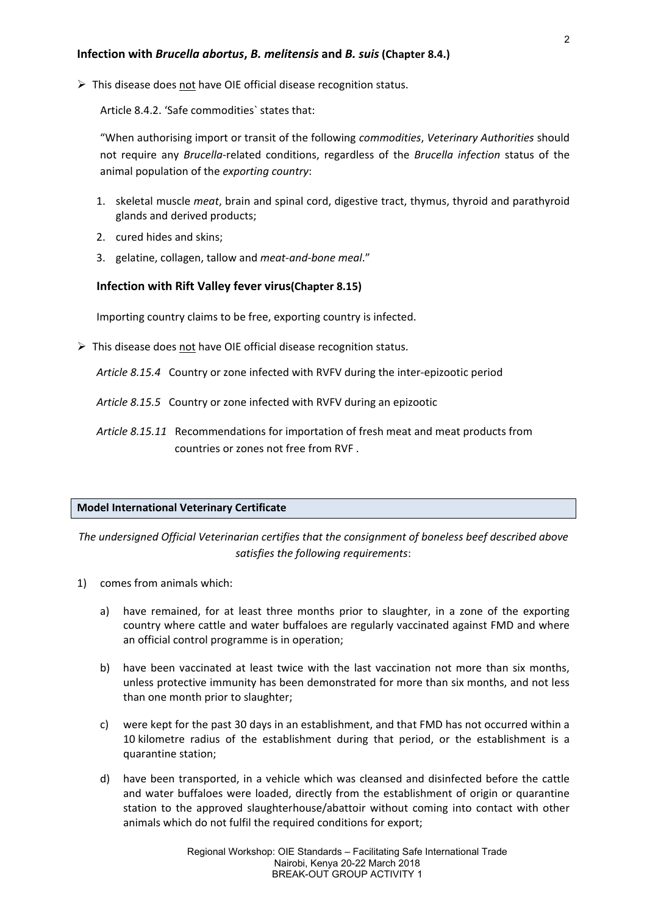$\triangleright$  This disease does not have OIE official disease recognition status.

Article 8.4.2. 'Safe commodities` states that:

"When authorising import or transit of the following *commodities*, *Veterinary Authorities* should not require any *Brucella*-related conditions, regardless of the *Brucella infection* status of the animal population of the *exporting country*:

- 1. skeletal muscle *meat*, brain and spinal cord, digestive tract, thymus, thyroid and parathyroid glands and derived products;
- 2. cured hides and skins;
- 3. gelatine, collagen, tallow and *meat-and-bone meal*."

# **Infection with Rift Valley fever virus(Chapter 8.15)**

Importing country claims to be free, exporting country is infected.

 $\triangleright$  This disease does not have OIE official disease recognition status.

*Article 8.15.4* Country or zone infected with RVFV during the inter-epizootic period

*Article 8.15.5* Country or zone infected with RVFV during an epizootic

*Article 8.15.11* Recommendations for importation of fresh meat and meat products from countries or zones not free from RVF .

#### **Model International Veterinary Certificate**

*The undersigned Official Veterinarian certifies that the consignment of boneless beef described above satisfies the following requirements*:

- 1) comes from animals which:
	- a) have remained, for at least three months prior to slaughter, in a zone of the exporting country where cattle and water buffaloes are regularly vaccinated against FMD and where an official control programme is in operation;
	- b) have been vaccinated at least twice with the last vaccination not more than six months, unless protective immunity has been demonstrated for more than six months, and not less than one month prior to slaughter;
	- c) were kept for the past 30 days in an establishment, and that FMD has not occurred within a 10 kilometre radius of the establishment during that period, or the establishment is a quarantine station;
	- d) have been transported, in a vehicle which was cleansed and disinfected before the cattle and water buffaloes were loaded, directly from the establishment of origin or quarantine station to the approved slaughterhouse/abattoir without coming into contact with other animals which do not fulfil the required conditions for export;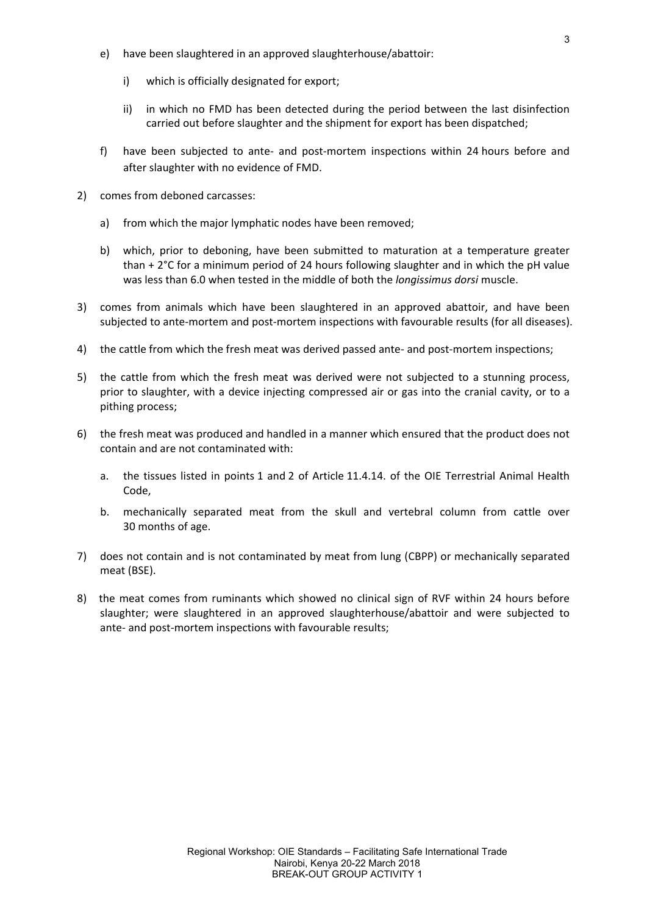- e) have been slaughtered in an approved slaughterhouse/abattoir:
	- i) which is officially designated for export;
	- ii) in which no FMD has been detected during the period between the last disinfection carried out before slaughter and the shipment for export has been dispatched;
- f) have been subjected to ante- and post-mortem inspections within 24 hours before and after slaughter with no evidence of FMD.
- 2) comes from deboned carcasses:
	- a) from which the major lymphatic nodes have been removed;
	- b) which, prior to deboning, have been submitted to maturation at a temperature greater than + 2°C for a minimum period of 24 hours following slaughter and in which the pH value was less than 6.0 when tested in the middle of both the *longissimus dorsi* muscle.
- 3) comes from animals which have been slaughtered in an approved abattoir, and have been subjected to ante-mortem and post-mortem inspections with favourable results (for all diseases).
- 4) the cattle from which the fresh meat was derived passed ante- and post-mortem inspections;
- 5) the cattle from which the fresh meat was derived were not subjected to a stunning process, prior to slaughter, with a device injecting compressed air or gas into the cranial cavity, or to a pithing process;
- 6) the fresh meat was produced and handled in a manner which ensured that the product does not contain and are not contaminated with:
	- a. the tissues listed in points 1 and 2 of Article 11.4.14. of the OIE Terrestrial Animal Health Code,
	- b. mechanically separated meat from the skull and vertebral column from cattle over 30 months of age.
- 7) does not contain and is not contaminated by meat from lung (CBPP) or mechanically separated meat (BSE).
- 8) the meat comes from ruminants which showed no clinical sign of RVF within 24 hours before slaughter; were slaughtered in an approved slaughterhouse/abattoir and were subjected to ante- and post-mortem inspections with favourable results;